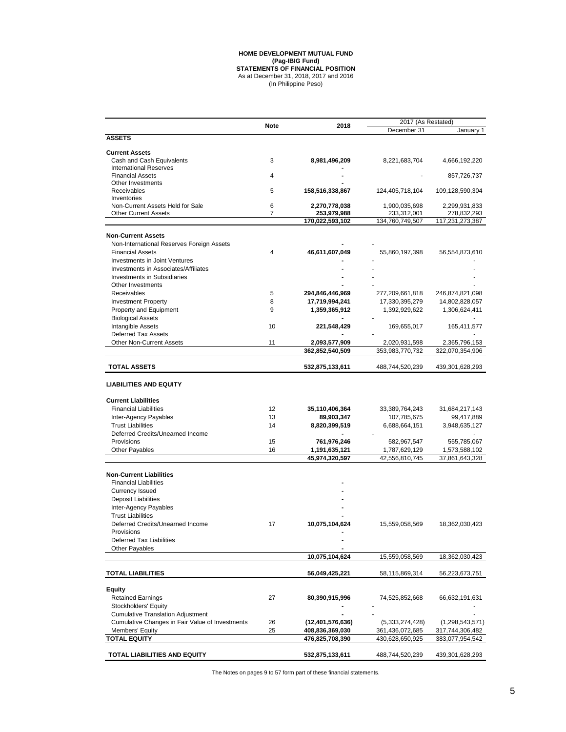## (In Philippine Peso) **HOME DEVELOPMENT MUTUAL FUND (Pag-IBIG Fund) STATEMENTS OF FINANCIAL POSITION** As at December 31, 2018, 2017 and 2016

|                                                 |             |                  | 2017 (As Restated) |                 |
|-------------------------------------------------|-------------|------------------|--------------------|-----------------|
|                                                 | <b>Note</b> | 2018             | December 31        | January 1       |
| <b>ASSETS</b>                                   |             |                  |                    |                 |
| <b>Current Assets</b>                           |             |                  |                    |                 |
| Cash and Cash Equivalents                       | 3           | 8,981,496,209    | 8,221,683,704      | 4,666,192,220   |
| <b>International Reserves</b>                   |             |                  |                    |                 |
| <b>Financial Assets</b>                         | 4           |                  |                    | 857,726,737     |
| Other Investments                               |             |                  |                    |                 |
| Receivables                                     | 5           | 158,516,338,867  | 124,405,718,104    | 109,128,590,304 |
| Inventories                                     |             |                  |                    |                 |
| Non-Current Assets Held for Sale                | 6           | 2,270,778,038    | 1,900,035,698      | 2,299,931,833   |
| <b>Other Current Assets</b>                     | 7           | 253,979,988      | 233,312,001        | 278,832,293     |
|                                                 |             | 170,022,593,102  | 134,760,749,507    | 117,231,273,387 |
| <b>Non-Current Assets</b>                       |             |                  |                    |                 |
| Non-International Reserves Foreign Assets       |             |                  |                    |                 |
| <b>Financial Assets</b>                         | 4           |                  |                    |                 |
|                                                 |             | 46,611,607,049   | 55,860,197,398     | 56,554,873,610  |
| Investments in Joint Ventures                   |             |                  |                    |                 |
| Investments in Associates/Affiliates            |             |                  |                    |                 |
| <b>Investments in Subsidiaries</b>              |             |                  |                    |                 |
| Other Investments                               |             |                  |                    |                 |
| Receivables                                     | 5           | 294,846,446,969  | 277,209,661,818    | 246,874,821,098 |
| <b>Investment Property</b>                      | 8           | 17,719,994,241   | 17,330,395,279     | 14,802,828,057  |
| Property and Equipment                          | 9           | 1,359,365,912    | 1,392,929,622      | 1,306,624,411   |
| <b>Biological Assets</b>                        |             |                  |                    |                 |
| Intangible Assets                               | 10          | 221,548,429      | 169,655,017        | 165,411,577     |
| <b>Deferred Tax Assets</b>                      |             |                  |                    |                 |
|                                                 |             |                  |                    |                 |
| <b>Other Non-Current Assets</b>                 | 11          | 2,093,577,909    | 2,020,931,598      | 2,365,796,153   |
|                                                 |             | 362,852,540,509  | 353,983,770,732    | 322,070,354,906 |
| <b>TOTAL ASSETS</b>                             |             | 532,875,133,611  | 488,744,520,239    | 439,301,628,293 |
|                                                 |             |                  |                    |                 |
| <b>LIABILITIES AND EQUITY</b>                   |             |                  |                    |                 |
| <b>Current Liabilities</b>                      |             |                  |                    |                 |
| <b>Financial Liabilities</b>                    | 12          |                  |                    |                 |
|                                                 |             | 35,110,406,364   | 33,389,764,243     | 31,684,217,143  |
| Inter-Agency Payables                           | 13          | 89,903,347       | 107,785,675        | 99,417,889      |
| <b>Trust Liabilities</b>                        | 14          | 8,820,399,519    | 6,688,664,151      | 3,948,635,127   |
| Deferred Credits/Unearned Income                |             |                  |                    |                 |
| Provisions                                      | 15          | 761,976,246      | 582,967,547        | 555,785,067     |
| <b>Other Payables</b>                           | 16          | 1,191,635,121    | 1,787,629,129      | 1,573,588,102   |
|                                                 |             | 45,974,320,597   | 42,556,810,745     | 37,861,643,328  |
|                                                 |             |                  |                    |                 |
| <b>Non-Current Liabilities</b>                  |             |                  |                    |                 |
| <b>Financial Liabilities</b>                    |             |                  |                    |                 |
| <b>Currency Issued</b>                          |             |                  |                    |                 |
| <b>Deposit Liabilities</b>                      |             |                  |                    |                 |
| Inter-Agency Payables                           |             |                  |                    |                 |
| <b>Trust Liabilities</b>                        |             |                  |                    |                 |
| Deferred Credits/Unearned Income                | 17          | 10,075,104,624   | 15,559,058,569     | 18,362,030,423  |
| Provisions                                      |             |                  |                    |                 |
| <b>Deferred Tax Liabilities</b>                 |             |                  |                    |                 |
|                                                 |             |                  |                    |                 |
| <b>Other Payables</b>                           |             |                  |                    |                 |
|                                                 |             | 10,075,104,624   | 15,559,058,569     | 18,362,030,423  |
| <b>TOTAL LIABILITIES</b>                        |             | 56,049,425,221   | 58,115,869,314     | 56,223,673,751  |
|                                                 |             |                  |                    |                 |
| <b>Equity</b>                                   |             |                  |                    |                 |
| <b>Retained Earnings</b>                        | 27          | 80,390,915,996   | 74,525,852,668     | 66,632,191,631  |
| Stockholders' Equity                            |             |                  |                    |                 |
| <b>Cumulative Translation Adjustment</b>        |             |                  |                    |                 |
| Cumulative Changes in Fair Value of Investments | 26          | (12,401,576,636) | (5,333,274,428)    | (1,298,543,571) |
| Members' Equity                                 | 25          | 408,836,369,030  | 361,436,072,685    | 317,744,306,482 |
| <b>TOTAL EQUITY</b>                             |             | 476,825,708,390  | 430,628,650,925    | 383,077,954,542 |
|                                                 |             |                  |                    |                 |
| TOTAL LIABILITIES AND EQUITY                    |             | 532,875,133,611  | 488,744,520,239    | 439,301,628,293 |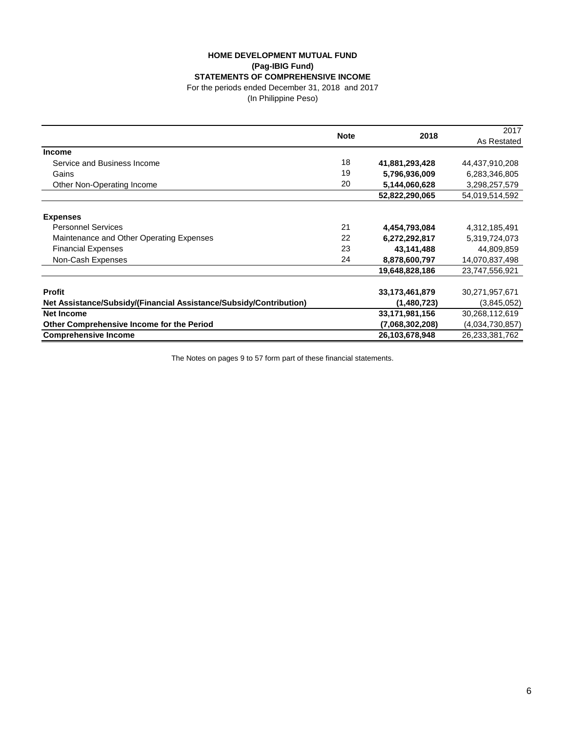## **HOME DEVELOPMENT MUTUAL FUND (Pag-IBIG Fund) STATEMENTS OF COMPREHENSIVE INCOME**

For the periods ended December 31, 2018 and 2017

(In Philippine Peso)

|                                                                    |             | 2018            | 2017            |
|--------------------------------------------------------------------|-------------|-----------------|-----------------|
|                                                                    | <b>Note</b> |                 | As Restated     |
| <b>Income</b>                                                      |             |                 |                 |
| Service and Business Income                                        | 18          | 41,881,293,428  | 44,437,910,208  |
| Gains                                                              | 19          | 5,796,936,009   | 6,283,346,805   |
| Other Non-Operating Income                                         | 20          | 5,144,060,628   | 3,298,257,579   |
|                                                                    |             | 52,822,290,065  | 54,019,514,592  |
| <b>Expenses</b>                                                    |             |                 |                 |
| <b>Personnel Services</b>                                          | 21          | 4,454,793,084   | 4,312,185,491   |
| Maintenance and Other Operating Expenses                           | 22          | 6,272,292,817   | 5,319,724,073   |
| <b>Financial Expenses</b>                                          | 23          | 43,141,488      | 44,809,859      |
| Non-Cash Expenses                                                  | 24          | 8,878,600,797   | 14,070,837,498  |
|                                                                    |             | 19,648,828,186  | 23,747,556,921  |
| <b>Profit</b>                                                      |             | 33,173,461,879  | 30,271,957,671  |
| Net Assistance/Subsidy/(Financial Assistance/Subsidy/Contribution) |             | (1,480,723)     | (3,845,052)     |
| <b>Net Income</b>                                                  |             | 33,171,981,156  | 30,268,112,619  |
| Other Comprehensive Income for the Period                          |             | (7,068,302,208) | (4,034,730,857) |
| <b>Comprehensive Income</b>                                        |             | 26,103,678,948  | 26,233,381,762  |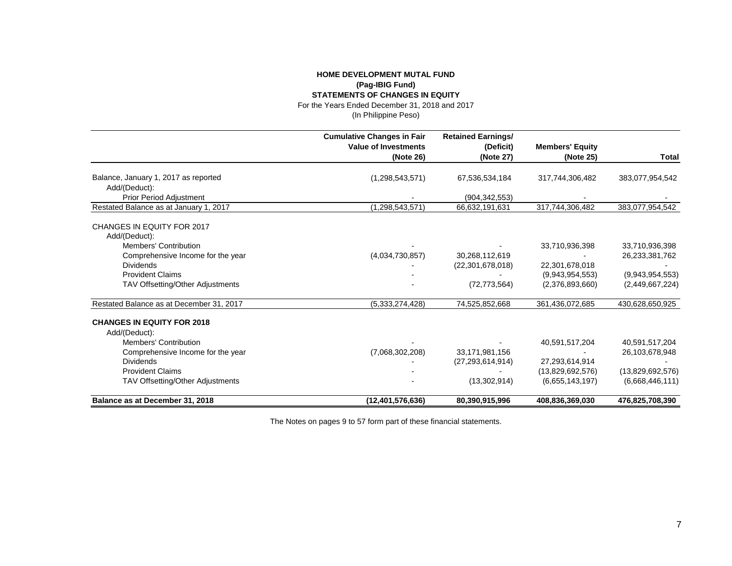## **HOME DEVELOPMENT MUTAL FUND (Pag-IBIG Fund) STATEMENTS OF CHANGES IN EQUITY**

For the Years Ended December 31, 2018 and 2017

(In Philippine Peso)

|                                             | <b>Cumulative Changes in Fair</b> | <b>Retained Earnings/</b> |                        |                  |  |
|---------------------------------------------|-----------------------------------|---------------------------|------------------------|------------------|--|
|                                             | <b>Value of Investments</b>       | (Deficit)                 | <b>Members' Equity</b> |                  |  |
|                                             | (Note 26)                         | (Note 27)                 | (Note 25)              | <b>Total</b>     |  |
| Balance, January 1, 2017 as reported        | (1,298,543,571)                   | 67,536,534,184            | 317,744,306,482        | 383,077,954,542  |  |
| Add/(Deduct):                               |                                   |                           |                        |                  |  |
| Prior Period Adjustment                     |                                   | (904, 342, 553)           |                        |                  |  |
| Restated Balance as at January 1, 2017      | (1, 298, 543, 571)                | 66,632,191,631            | 317,744,306,482        | 383,077,954,542  |  |
| CHANGES IN EQUITY FOR 2017<br>Add/(Deduct): |                                   |                           |                        |                  |  |
| <b>Members' Contribution</b>                |                                   |                           | 33,710,936,398         | 33,710,936,398   |  |
| Comprehensive Income for the year           | (4,034,730,857)                   | 30,268,112,619            |                        | 26,233,381,762   |  |
| <b>Dividends</b>                            |                                   | (22, 301, 678, 018)       | 22,301,678,018         |                  |  |
| <b>Provident Claims</b>                     |                                   |                           | (9,943,954,553)        | (9,943,954,553)  |  |
| TAV Offsetting/Other Adjustments            |                                   | (72, 773, 564)            | (2,376,893,660)        | (2,449,667,224)  |  |
| Restated Balance as at December 31, 2017    | (5,333,274,428)                   | 74,525,852,668            | 361,436,072,685        | 430,628,650,925  |  |
| <b>CHANGES IN EQUITY FOR 2018</b>           |                                   |                           |                        |                  |  |
| Add/(Deduct):                               |                                   |                           |                        |                  |  |
| Members' Contribution                       |                                   |                           | 40,591,517,204         | 40,591,517,204   |  |
| Comprehensive Income for the year           | (7,068,302,208)                   | 33,171,981,156            |                        | 26,103,678,948   |  |
| <b>Dividends</b>                            |                                   | (27, 293, 614, 914)       | 27,293,614,914         |                  |  |
| <b>Provident Claims</b>                     |                                   |                           | (13,829,692,576)       | (13,829,692,576) |  |
| TAV Offsetting/Other Adjustments            |                                   | (13, 302, 914)            | (6.655, 143, 197)      | (6,668,446,111)  |  |
| Balance as at December 31, 2018             | (12,401,576,636)                  | 80,390,915,996            | 408,836,369,030        | 476,825,708,390  |  |